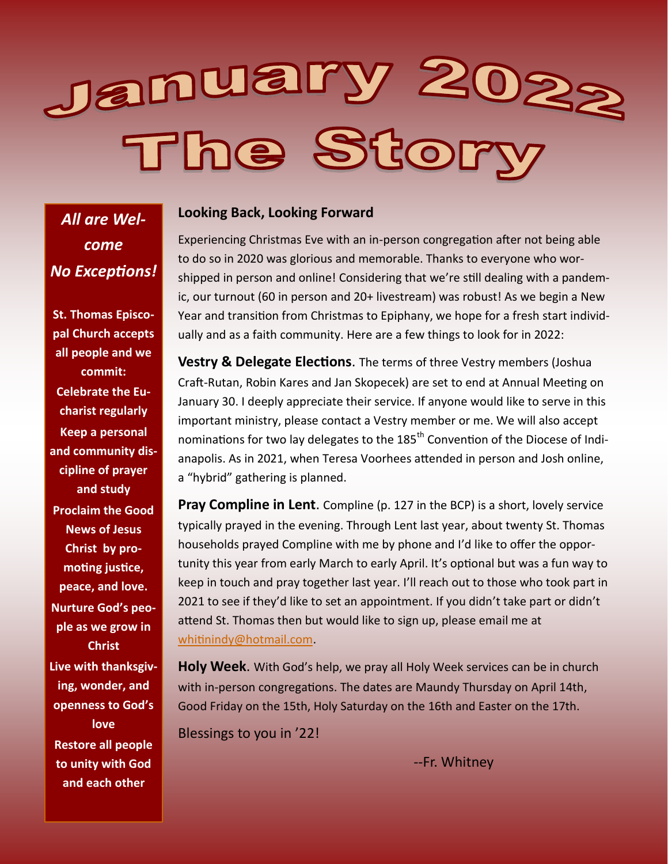# January 202<sub>2</sub><br>The Story

*All are Welcome No Exceptions!*

**St. Thomas Episcopal Church accepts all people and we commit: Celebrate the Eucharist regularly Keep a personal and community discipline of prayer and study Proclaim the Good News of Jesus Christ by promoting justice, peace, and love. Nurture God's people as we grow in Christ Live with thanksgiving, wonder, and openness to God's love Restore all people to unity with God and each other**

#### **Looking Back, Looking Forward**

Experiencing Christmas Eve with an in-person congregation after not being able to do so in 2020 was glorious and memorable. Thanks to everyone who worshipped in person and online! Considering that we're still dealing with a pandemic, our turnout (60 in person and 20+ livestream) was robust! As we begin a New Year and transition from Christmas to Epiphany, we hope for a fresh start individually and as a faith community. Here are a few things to look for in 2022:

**Vestry & Delegate Elections**. The terms of three Vestry members (Joshua Craft-Rutan, Robin Kares and Jan Skopecek) are set to end at Annual Meeting on January 30. I deeply appreciate their service. If anyone would like to serve in this important ministry, please contact a Vestry member or me. We will also accept nominations for two lay delegates to the 185<sup>th</sup> Convention of the Diocese of Indianapolis. As in 2021, when Teresa Voorhees attended in person and Josh online, a "hybrid" gathering is planned.

**Pray Compline in Lent.** Compline (p. 127 in the BCP) is a short, lovely service typically prayed in the evening. Through Lent last year, about twenty St. Thomas households prayed Compline with me by phone and I'd like to offer the opportunity this year from early March to early April. It's optional but was a fun way to keep in touch and pray together last year. I'll reach out to those who took part in 2021 to see if they'd like to set an appointment. If you didn't take part or didn't attend St. Thomas then but would like to sign up, please email me at [whitinindy@hotmail.com.](mailto:whitinindy@hotmail.com) 

**Holy Week**. With God's help, we pray all Holy Week services can be in church with in-person congregations. The dates are Maundy Thursday on April 14th, Good Friday on the 15th, Holy Saturday on the 16th and Easter on the 17th.

Blessings to you in '22!

--Fr. Whitney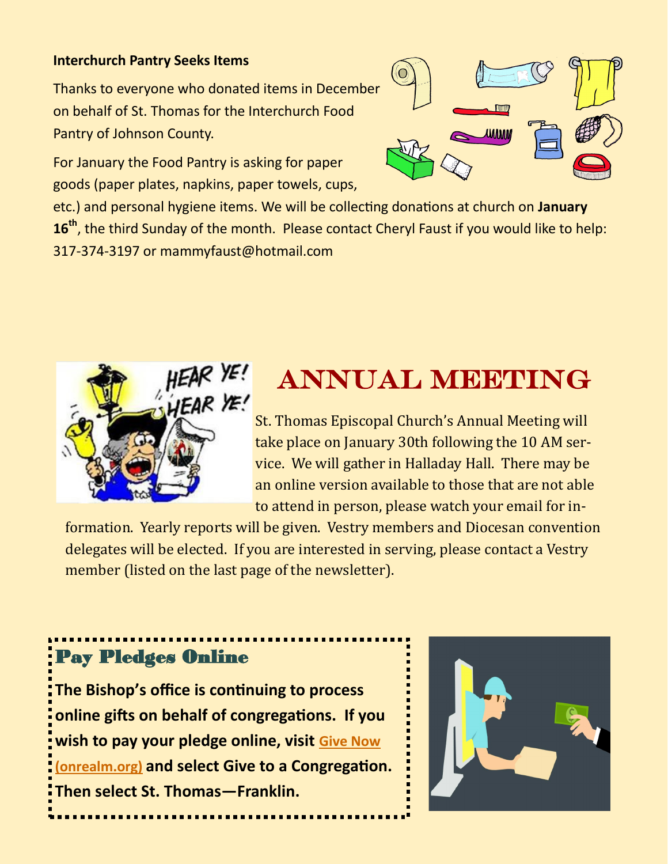#### **Interchurch Pantry Seeks Items**

Thanks to everyone who donated items in December on behalf of St. Thomas for the Interchurch Food Pantry of Johnson County.

For January the Food Pantry is asking for paper goods (paper plates, napkins, paper towels, cups,



etc.) and personal hygiene items. We will be collecting donations at church on **January 16th**, the third Sunday of the month. Please contact Cheryl Faust if you would like to help: 317-374-3197 or mammyfaust@hotmail.com



# **ANNUAL MEETING**

St. Thomas Episcopal Church's Annual Meeting will take place on January 30th following the 10 AM service. We will gather in Halladay Hall. There may be an online version available to those that are not able to attend in person, please watch your email for in-

formation. Yearly reports will be given. Vestry members and Diocesan convention delegates will be elected. If you are interested in serving, please contact a Vestry member (listed on the last page of the newsletter).

# Pay Pledges Online

**The Bishop's office is continuing to process online gifts on behalf of congregations. If you wish to pay your pledge online, visit [Give Now](https://onrealm.org/indydio/-/give/covid19)  [\(onrealm.org\)](https://onrealm.org/indydio/-/give/covid19) and select Give to a Congregation. Then select St. Thomas—Franklin.** 

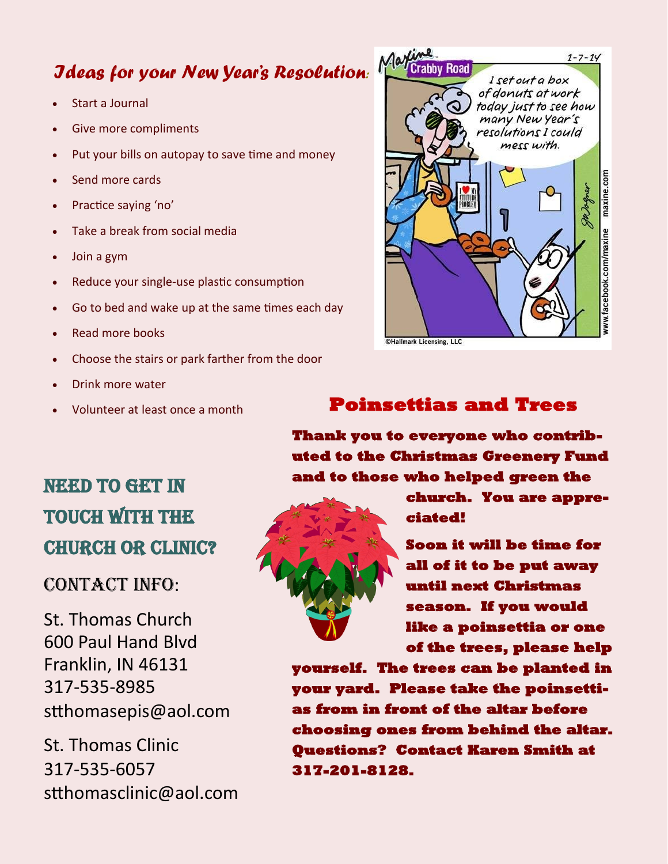# *Ideas for your New Year's Resolution:*

- Start a Journal
- Give more compliments
- Put your bills on autopay to save time and money
- Send more cards
- Practice saying 'no'
- Take a break from social media
- Join a gym
- Reduce your single-use plastic consumption
- Go to bed and wake up at the same times each day
- Read more books
- Choose the stairs or park farther from the door
- Drink more water
- 

# *Ling*<br>Crabby Road  $1 - 7 - 14$ I set out a box of donuts at work today just to see how many New Year's resolutions I could mess with. maxine.com rww.facebook.com/maxine @Hallmark Licensing, LLC

#### • Volunteer at least once a month **Poinsettias and Trees**

**Thank you to everyone who contributed to the Christmas Greenery Fund and to those who helped green the** 

#### **church. You are appreciated!**

**Soon it will be time for all of it to be put away until next Christmas season. If you would like a poinsettia or one of the trees, please help** 

**yourself. The trees can be planted in your yard. Please take the poinsettias from in front of the altar before choosing ones from behind the altar. Questions? Contact Karen Smith at 317-201-8128.** 

# NEED TO GET IN touch with the church or Clinic?

## CONTACT INFO:

St. Thomas Church 600 Paul Hand Blvd Franklin, IN 46131 317-535-8985 stthomasepis@aol.com

St. Thomas Clinic 317-535-6057 stthomasclinic@aol.com